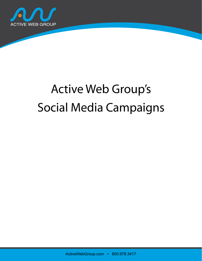

# Active Web Group's Social Media Campaigns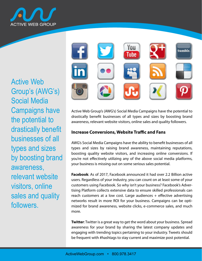

Social Media **Campaigns have** the potential to drastically benefit businesses of all types and sizes by boosting brand Active Web Group's (AWG's) awareness, relevant website visitors, online sales and quality followers.



.<br>Henefit businesses of allمdrastically benefit businesses of awareness, relevant website visitors, online sales and quality followers. Active Web Group's (AWG's) Social Media Campaigns have the pot arastically benefit businesses of all types and sizes by **Pinterest**: Leveraging some Pinterest power is an excellent way to show-Active Web Group's (AWG's) Social Media Campaigns have the potential to Social Media Campaignsdrastically benefit businesses of all types and sizes by boosting brand awareness, relevant website visitors, online sales and quality followers. e-commerce site.

#### **Increase Conversions**  $\mathbf{b}$  branded company posts and targeted  $\mathbf{b}$  campaigns. The targeted  $\mathbf{b}$ **LinkedIn**: Just as professionals have a LinkedIn prole, every reputable **Increase Conversions, Website Traffic and Fans**

ences comments compagne into the busing to a chemical<br>types and sizes by raising brand awareness maintaini boosting quality website visitors, • Online Reputation Management • The time needed to spend on social media platforms for optimal AWG's Social Media Campaigns have the ability to benefit businesses of all  $\frac{1}{2}$  the current equality website visitors and increasing online example and is entertained to the material product of the shows cocial your business is missing out on some serious sales potential. **Specic Ad Campaign Results:** types and sizes by raising brand awareness boosting quality website visitors, and increasing online conversions. you're not effectively utilizing any of the above social media platforms, types and sizes by raising brand awareness, maintaining reputations, s.<br>boosting quality website visitors, and increasing online conversions. If your business is missing out on some serious sales potential.  $\mathcal{L}_{\text{max}}$  shifting to smart phones every year, Insta-

customers using Facebook. So why isn't your business? Facebook's Advertising Platform collects extensive data to ensure skilled  $\vert$ networks result in more ROI for your business. Campaigns can be optimized for brand awar **RECEBOOK:** AS OF 2017, RECEBOOK announced it had over 2.2 Billion detive<br>users. Regardless of your industry, you can count on at least some of your tising Platform collects extensive data to ensure skilled professionals can reach customers at a low cost. Large audiences + effective advertising regular in-depth and data regular in-depth and data retrieved from some conmeasure in the more instant in your cameral camping for your cam-<br>mized for brand awareness, website clicks, e-commerce sales, and much paigns. The Awg experience, the Awg experiments sense, and improve Facebook: As of 2017, Facebook announced it had over 2.2 Billion active hetworks resuit in more ROI for your business. Campaigns can **C**: Natural Health Products **Products** networks result in more ROI for your business. Campaigns can be optimore.

PERSON THREE IS a great tray to go this the Later can be a structure processed engaging with trending topics pertaining to your industry. Tweets should excylige with a crown your potential your mediatry functions. **Twitter**: Twitter is a great way to get the word about your business. Spre awareness for your i **Twitter**: Twitter is a great way to get the word about your business. Spread awareness for your brand by sharing the latest company updates and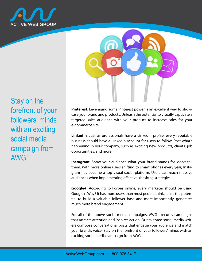

Stay on the forefront of your followers' minds with an exciting social media campaign from AWG!



**Pinterest**: Leveraging some Pinterest power is an excellent way to showcase your brand and products. Unleash the potential to visually captivate a targeted sales audience with your product to increase sales for your e-commerce site.

**LinkedIn**: Just as professionals have a LinkedIn profile, every reputable business should have a LinkedIn account for users to follow. Post what's happening in your company, such as exciting new products, clients, job opportunities, and more.

**Instagram**: Show your audience what your brand stands for, don't tell them. With more online users shifting to smart phones every year, Instagram has become a top visual social platform. Users can reach massive audiences when implementing effective #hashtag strategies.

**Google+**: According to Forbes online, every marketer should be using Google+. Why? It has more users than most people think. It has the potential to build a valuable follower base and more importantly, generates much more brand engagement.

For all of the above social media campaigns, AWG executes campaigns that attracts attention and inspires action. Our talented social media writers compose conversational posts that engage your audience and match your brand's voice. Stay on the forefront of your followers' minds with an exciting social media campaign from AWG!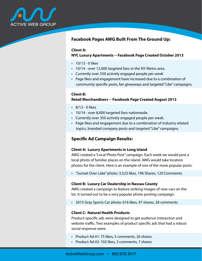

## **Facebook Pages AWG Built From The Ground Up:**

#### **Client A:**

## **NYC Luxury Apartments -- Facebook Page Created October 2013**

- $\cdot$  10/13 0 likes
- 10/14 over 12,000 targeted fans in the NY Metro area.
- Currently over 550 actively engaged people per week
- Page likes and engagement have increased due to a combination of community specific posts, fan giveaways and targeted "Like" campaigns.

## **Client B:**

## **Retail Merchandisers -- Facebook Page Created August 2013**

- $\cdot$  8/13 0 likes
- 10/14 over 8,000 targeted fans nationwide.
- Currently over 350 actively engaged people per week.
- Page likes and engagement due to a combination of industry related topics, branded company posts and targeted "Like" campaigns.

## **Specific Ad Campaign Results:**

#### **Client A: Luxury Apartments in Long Island**

AWG created a "Local Photo Post" campaign. Each week we would post a local photo of familiar places on the island. AWG would take location photos for the client. Here is an example of one of the more popular posts:

• "Sunset Over Lake" photo: 3,523 likes, 196 Shares, 120 Comments

#### **Client B: Luxury Car Dealership in Nassau County**

AWG created a campaign to feature striking images of new cars on the lot. It turned out to be a very popular photo posting campaign.

• 2015 Gray Sports Car photo: 616 likes, 47 shares, 28 comments

### **Client C: Natural Health Products**

Product-specific ads were designed to get audience interaction and website traffic. Two examples of product specific ads that had a robust social response were:

- Product Ad #1: 75 likes, 5 comments, 26 shares
- Product Ad #2: 102 likes, 3 comments, 7 shares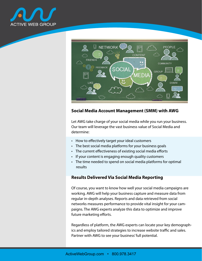



## **Social Media Account Management (SMM) with AWG**

Let AWG take charge of your social media while you run your business. Our team will leverage the vast business value of Social Media and determine:

- How to effectively target your ideal customers
- The best social media platforms for your business goals
- The current effectiveness of existing social media efforts
- If your content is engaging enough quality customers
- The time needed to spend on social media platforms for optimal results

## **Results Delivered Via Social Media Reporting**

Of course, you want to know how well your social media campaigns are working. AWG will help your business capture and measure data from regular in-depth analyses. Reports and data retrieved from social networks measures performance to provide vital insight for your campaigns. The AWG experts analyze this data to optimize and improve future marketing efforts.

Regardless of platform, the AWG experts can locate your key demographics and employ tailored strategies to increase website traffic and sales. Partner with AWG to see your business' full potential.